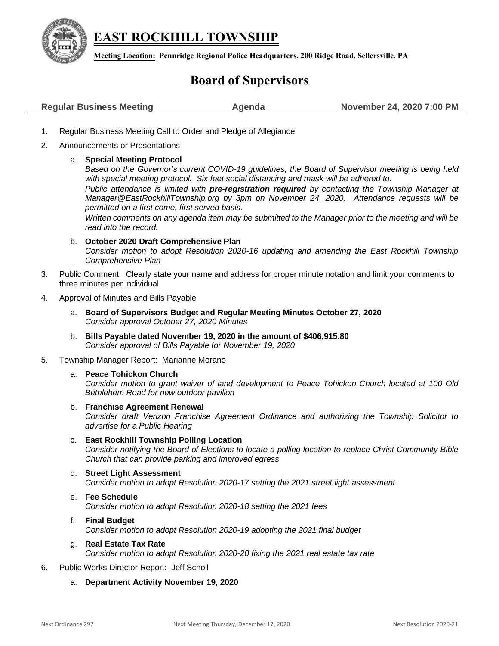

**EAST ROCKHILL TOWNSHIP**

**Meeting Location: Pennridge Regional Police Headquarters, 200 Ridge Road, Sellersville, PA**

## **Board of Supervisors**

| <b>Regular Business Meeting</b> | Agenda | November 24, 2020 7:00 PM |
|---------------------------------|--------|---------------------------|
|                                 |        |                           |

- 1. Regular Business Meeting Call to Order and Pledge of Allegiance
- 2. Announcements or Presentations
	- a. **Special Meeting Protocol**

*Based on the Governor's current COVID-19 guidelines, the Board of Supervisor meeting is being held with special meeting protocol. Six feet social distancing and mask will be adhered to.* 

*Public attendance is limited with pre-registration required by contacting the Township Manager at [Manager@EastRockhillTownship.org](mailto:Manager@EastRockhillTownship.org) by 3pm on November 24, 2020. Attendance requests will be permitted on a first come, first served basis.* 

*Written comments on any agenda item may be submitted to the Manager prior to the meeting and will be read into the record.*

- b. **October 2020 Draft Comprehensive Plan** *Consider motion to adopt Resolution 2020-16 updating and amending the East Rockhill Township Comprehensive Plan*
- 3. Public Comment Clearly state your name and address for proper minute notation and limit your comments to three minutes per individual
- 4. Approval of Minutes and Bills Payable
	- a. **Board of Supervisors Budget and Regular Meeting Minutes October 27, 2020** *Consider approval October 27, 2020 Minutes*
	- b. **Bills Payable dated November 19, 2020 in the amount of \$406,915.80** *Consider approval of Bills Payable for November 19, 2020*
- 5. Township Manager Report: Marianne Morano
	- a. **Peace Tohickon Church**

*Consider motion to grant waiver of land development to Peace Tohickon Church located at 100 Old Bethlehem Road for new outdoor pavilion* 

b. **Franchise Agreement Renewal**

*Consider draft Verizon Franchise Agreement Ordinance and authorizing the Township Solicitor to advertise for a Public Hearing* 

- c. **East Rockhill Township Polling Location** *Consider notifying the Board of Elections to locate a polling location to replace Christ Community Bible Church that can provide parking and improved egress*
- d. **Street Light Assessment** *Consider motion to adopt Resolution 2020-17 setting the 2021 street light assessment*
- e. **Fee Schedule** *Consider motion to adopt Resolution 2020-18 setting the 2021 fees*
- f. **Final Budget** *Consider motion to adopt Resolution 2020-19 adopting the 2021 final budget*
- g. **Real Estate Tax Rate** *Consider motion to adopt Resolution 2020-20 fixing the 2021 real estate tax rate*
- 6. Public Works Director Report: Jeff Scholl
	- a. **Department Activity November 19, 2020**